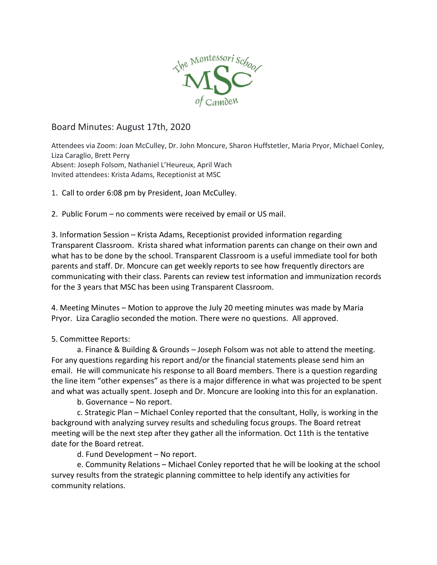

## Board Minutes: August 17th, 2020

Attendees via Zoom: Joan McCulley, Dr. John Moncure, Sharon Huffstetler, Maria Pryor, Michael Conley, Liza Caraglio, Brett Perry Absent: Joseph Folsom, Nathaniel L'Heureux, April Wach Invited attendees: Krista Adams, Receptionist at MSC

1. Call to order 6:08 pm by President, Joan McCulley.

2. Public Forum – no comments were received by email or US mail.

3. Information Session – Krista Adams, Receptionist provided information regarding Transparent Classroom. Krista shared what information parents can change on their own and what has to be done by the school. Transparent Classroom is a useful immediate tool for both parents and staff. Dr. Moncure can get weekly reports to see how frequently directors are communicating with their class. Parents can review test information and immunization records for the 3 years that MSC has been using Transparent Classroom.

4. Meeting Minutes – Motion to approve the July 20 meeting minutes was made by Maria Pryor. Liza Caraglio seconded the motion. There were no questions. All approved.

## 5. Committee Reports:

a. Finance & Building & Grounds – Joseph Folsom was not able to attend the meeting. For any questions regarding his report and/or the financial statements please send him an email. He will communicate his response to all Board members. There is a question regarding the line item "other expenses" as there is a major difference in what was projected to be spent and what was actually spent. Joseph and Dr. Moncure are looking into this for an explanation.

b. Governance – No report.

c. Strategic Plan – Michael Conley reported that the consultant, Holly, is working in the background with analyzing survey results and scheduling focus groups. The Board retreat meeting will be the next step after they gather all the information. Oct 11th is the tentative date for the Board retreat.

d. Fund Development – No report.

e. Community Relations – Michael Conley reported that he will be looking at the school survey results from the strategic planning committee to help identify any activities for community relations.